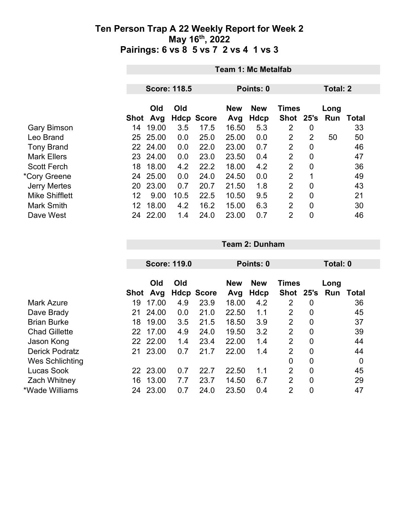|                       | <b>Team 1: Mc Metalfab</b> |                     |      |                   |                   |                    |                           |                 |             |       |  |
|-----------------------|----------------------------|---------------------|------|-------------------|-------------------|--------------------|---------------------------|-----------------|-------------|-------|--|
|                       |                            |                     |      |                   |                   |                    |                           |                 |             |       |  |
|                       |                            | <b>Score: 118.5</b> |      |                   |                   | Points: 0          |                           | <b>Total: 2</b> |             |       |  |
|                       | Shot                       | Old<br>Avg          | Old  | <b>Hdcp Score</b> | <b>New</b><br>Avg | <b>New</b><br>Hdcp | <b>Times</b><br>Shot 25's |                 | Long<br>Run | Total |  |
| <b>Gary Bimson</b>    | 14                         | 19.00               | 3.5  | 17.5              | 16.50             | 5.3                | 2                         | 0               |             | 33    |  |
| Leo Brand             | 25                         | 25.00               | 0.0  | 25.0              | 25.00             | 0.0                | $\overline{2}$            | $\overline{2}$  | 50          | 50    |  |
| <b>Tony Brand</b>     |                            | 22 24.00            | 0.0  | 22.0              | 23.00             | 0.7                | 2                         | 0               |             | 46    |  |
| <b>Mark Ellers</b>    | 23                         | 24.00               | 0.0  | 23.0              | 23.50             | 0.4                | $\overline{2}$            | $\overline{0}$  |             | 47    |  |
| <b>Scott Ferch</b>    | 18                         | 18.00               | 4.2  | 22.2              | 18.00             | 4.2                | $\overline{2}$            | $\overline{0}$  |             | 36    |  |
| *Cory Greene          |                            | 24 25.00            | 0.0  | 24.0              | 24.50             | 0.0                | $\overline{2}$            | 1               |             | 49    |  |
| <b>Jerry Mertes</b>   | 20                         | 23.00               | 0.7  | 20.7              | 21.50             | 1.8                | $\overline{2}$            | $\overline{0}$  |             | 43    |  |
| <b>Mike Shifflett</b> | 12                         | 9.00                | 10.5 | 22.5              | 10.50             | 9.5                | $\overline{2}$            | $\overline{0}$  |             | 21    |  |
| <b>Mark Smith</b>     | 12                         | 18.00               | 4.2  | 16.2              | 15.00             | 6.3                | 2                         | $\overline{0}$  |             | 30    |  |
| Dave West             | 24                         | 22.00               | 1.4  | 24.0              | 23.00             | 0.7                | $\overline{2}$            | $\mathbf 0$     |             | 46    |  |

|                       |             |          | <b>Score: 119.0</b> |                   |            | Points: 0  |                |                  |      | Total: 0     |  |  |
|-----------------------|-------------|----------|---------------------|-------------------|------------|------------|----------------|------------------|------|--------------|--|--|
|                       |             |          |                     |                   |            |            |                |                  |      |              |  |  |
|                       |             | Old      | Old                 |                   | <b>New</b> | <b>New</b> | Times          |                  | Long |              |  |  |
|                       | <b>Shot</b> | Avg      |                     | <b>Hdcp Score</b> | Avg        | Hdcp       | <b>Shot</b>    | 25's             | Run  | <b>Total</b> |  |  |
| Mark Azure            | 19          | 17.00    | 4.9                 | 23.9              | 18.00      | 4.2        | 2              | 0                |      | 36           |  |  |
| Dave Brady            | 21          | 24.00    | 0.0                 | 21.0              | 22.50      | 1.1        | 2              | 0                |      | 45           |  |  |
| <b>Brian Burke</b>    | 18          | 19.00    | 3.5                 | 21.5              | 18.50      | 3.9        | $\overline{2}$ | $\boldsymbol{0}$ |      | 37           |  |  |
| <b>Chad Gillette</b>  | 22          | 17.00    | 4.9                 | 24.0              | 19.50      | 3.2        | $\overline{2}$ | $\boldsymbol{0}$ |      | 39           |  |  |
| Jason Kong            | 22          | 22.00    | 1.4                 | 23.4              | 22.00      | 1.4        | $\overline{2}$ | $\overline{0}$   |      | 44           |  |  |
| <b>Derick Podratz</b> | 21          | 23.00    | 0.7                 | 21.7              | 22.00      | 1.4        | $\overline{2}$ | $\boldsymbol{0}$ |      | 44           |  |  |
| Wes Schlichting       |             |          |                     |                   |            |            | 0              | $\boldsymbol{0}$ |      | 0            |  |  |
| Lucas Sook            |             | 22 23.00 | 0.7                 | 22.7              | 22.50      | 1.1        | $\overline{2}$ | $\overline{0}$   |      | 45           |  |  |
| <b>Zach Whitney</b>   | 16          | 13.00    | 7.7                 | 23.7              | 14.50      | 6.7        | $\overline{2}$ | 0                |      | 29           |  |  |
| *Wade Williams        | 24          | 23.00    | 0.7                 | 24.0              | 23.50      | 0.4        | 2              | 0                |      | 47           |  |  |

**Team 2: Dunham**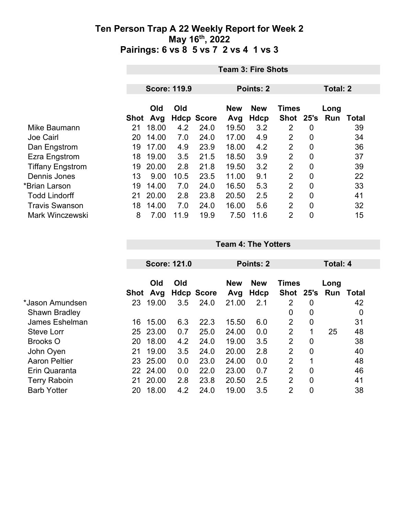|                         |      | <b>Team 3: Fire Shots</b> |      |                   |            |             |                |                 |      |       |  |  |  |
|-------------------------|------|---------------------------|------|-------------------|------------|-------------|----------------|-----------------|------|-------|--|--|--|
|                         |      |                           |      |                   |            |             |                | <b>Total: 2</b> |      |       |  |  |  |
|                         |      | <b>Score: 119.9</b>       |      |                   |            | Points: 2   |                |                 |      |       |  |  |  |
|                         |      | Old                       | Old  |                   | <b>New</b> | <b>New</b>  | <b>Times</b>   |                 | Long |       |  |  |  |
|                         | Shot | Avg                       |      | <b>Hdcp Score</b> | Avg        | <b>Hdcp</b> | Shot 25's      |                 | Run  | Total |  |  |  |
| Mike Baumann            | 21   | 18.00                     | 4.2  | 24.0              | 19.50      | 3.2         | 2              | 0               |      | 39    |  |  |  |
| <b>Joe Cairl</b>        | 20   | 14.00                     | 7.0  | 24.0              | 17.00      | 4.9         | $\overline{2}$ | 0               |      | 34    |  |  |  |
| Dan Engstrom            | 19   | 17.00                     | 4.9  | 23.9              | 18.00      | 4.2         | 2              | 0               |      | 36    |  |  |  |
| Ezra Engstrom           | 18   | 19.00                     | 3.5  | 21.5              | 18.50      | 3.9         | 2              | 0               |      | 37    |  |  |  |
| <b>Tiffany Engstrom</b> | 19   | 20.00                     | 2.8  | 21.8              | 19.50      | 3.2         | $\overline{2}$ | $\overline{0}$  |      | 39    |  |  |  |
| Dennis Jones            | 13   | 9.00                      | 10.5 | 23.5              | 11.00      | 9.1         | 2              | 0               |      | 22    |  |  |  |
| *Brian Larson           | 19   | 14.00                     | 7.0  | 24.0              | 16.50      | 5.3         | $\overline{2}$ | 0               |      | 33    |  |  |  |
| <b>Todd Lindorff</b>    | 21   | 20.00                     | 2.8  | 23.8              | 20.50      | 2.5         | $\overline{2}$ | $\overline{0}$  |      | 41    |  |  |  |
| <b>Travis Swanson</b>   | 18   | 14.00                     | 7.0  | 24.0              | 16.00      | 5.6         | 2              | $\mathbf 0$     |      | 32    |  |  |  |
| <b>Mark Winczewski</b>  | 8    | 7.00                      | 11.9 | 19.9              | 7.50       | 11.6        | $\overline{2}$ | 0               |      | 15    |  |  |  |

|                      |      |            | <b>Score: 121.0</b> |                   | Points: 2                                |      |                |                | Total: 4 |           |  |
|----------------------|------|------------|---------------------|-------------------|------------------------------------------|------|----------------|----------------|----------|-----------|--|
|                      |      | Old<br>Old |                     |                   | <b>New</b><br><b>New</b><br><b>Times</b> |      |                |                | Long     |           |  |
|                      | Shot | Avg        |                     | <b>Hdcp Score</b> | Avg                                      | Hdcp | Shot 25's      |                |          | Run Total |  |
| *Jason Amundsen      | 23   | 19.00      | 3.5                 | 24.0              | 21.00                                    | 2.1  | 2              | 0              |          | 42        |  |
| <b>Shawn Bradley</b> |      |            |                     |                   |                                          |      | 0              | 0              |          | 0         |  |
| James Eshelman       | 16   | 15.00      | 6.3                 | 22.3              | 15.50                                    | 6.0  | $\overline{2}$ | $\overline{0}$ |          | 31        |  |
| <b>Steve Lorr</b>    | 25   | 23.00      | 0.7                 | 25.0              | 24.00                                    | 0.0  | $\overline{2}$ | 1              | 25       | 48        |  |
| <b>Brooks O</b>      | 20   | 18.00      | 4.2                 | 24.0              | 19.00                                    | 3.5  | $\overline{2}$ | $\overline{0}$ |          | 38        |  |
| John Oyen            | 21   | 19.00      | 3.5                 | 24.0              | 20.00                                    | 2.8  | $\overline{2}$ | 0              |          | 40        |  |
| <b>Aaron Peltier</b> | 23   | 25.00      | 0.0                 | 23.0              | 24.00                                    | 0.0  | $\overline{2}$ | 1              |          | 48        |  |
| Erin Quaranta        | 22   | 24.00      | 0.0                 | 22.0              | 23.00                                    | 0.7  | $\overline{2}$ | $\overline{0}$ |          | 46        |  |
| <b>Terry Raboin</b>  | 21   | 20.00      | 2.8                 | 23.8              | 20.50                                    | 2.5  | $\overline{2}$ | $\mathbf 0$    |          | 41        |  |
| <b>Barb Yotter</b>   | 20   | 18.00      | 4.2                 | 24.0              | 19.00                                    | 3.5  | $\overline{2}$ | 0              |          | 38        |  |

**Team 4: The Yotters**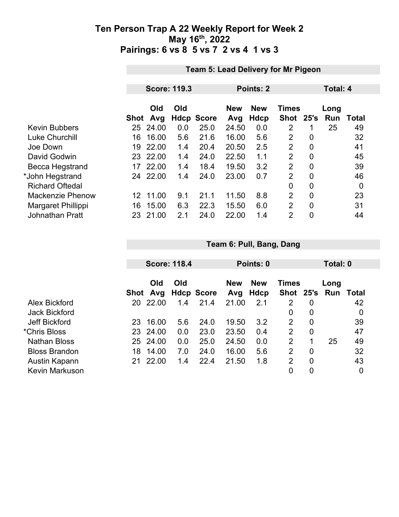|                         |      | Team 5: Lead Delivery for Mr Pigeon |     |                   |            |            |                |                |      |       |
|-------------------------|------|-------------------------------------|-----|-------------------|------------|------------|----------------|----------------|------|-------|
|                         |      |                                     |     |                   |            |            |                |                |      |       |
|                         |      | <b>Score: 119.3</b>                 |     |                   |            | Points: 2  |                | Total: 4       |      |       |
|                         |      |                                     |     |                   |            |            |                |                |      |       |
|                         |      | Old                                 | Old |                   | <b>New</b> | <b>New</b> | <b>Times</b>   |                | Long |       |
|                         | Shot | Avg                                 |     | <b>Hdcp Score</b> | Avg        | Hdcp       | <b>Shot</b>    | 25's           | Run  | Total |
| <b>Kevin Bubbers</b>    | 25   | 24.00                               | 0.0 | 25.0              | 24.50      | 0.0        | 2              |                | 25   | 49    |
| <b>Luke Churchill</b>   | 16   | 16.00                               | 5.6 | 21.6              | 16.00      | 5.6        | $\overline{2}$ | 0              |      | 32    |
| Joe Down                | 19   | 22.00                               | 1.4 | 20.4              | 20.50      | 2.5        | 2              | $\overline{0}$ |      | 41    |
| David Godwin            |      | 23 22.00                            | 1.4 | 24.0              | 22.50      | 1.1        | $\overline{2}$ | 0              |      | 45    |
| Becca Hegstrand         | 17   | 22.00                               | 1.4 | 18.4              | 19.50      | 3.2        | $\overline{2}$ | $\overline{0}$ |      | 39    |
| *John Hegstrand         | 24   | 22.00                               | 1.4 | 24.0              | 23.00      | 0.7        | $\overline{2}$ | 0              |      | 46    |
| <b>Richard Oftedal</b>  |      |                                     |     |                   |            |            | $\mathbf 0$    | 0              |      | 0     |
| <b>Mackenzie Phenow</b> | 12   | 11.00                               | 9.1 | 21.1              | 11.50      | 8.8        | 2              | $\overline{0}$ |      | 23    |
| Margaret Phillippi      | 16   | 15.00                               | 6.3 | 22.3              | 15.50      | 6.0        | $\overline{2}$ | 0              |      | 31    |
| <b>Johnathan Pratt</b>  | 23   | 21.00                               | 2.1 | 24.0              | 22.00      | 1.4        | $\overline{2}$ | $\overline{0}$ |      | 44    |
|                         |      |                                     |     |                   |            |            |                |                |      |       |

|                       |      | <b>Score: 118.4</b> |     |                   |                   | Points: 0          |                           |                |             | Total: 0 |  |  |
|-----------------------|------|---------------------|-----|-------------------|-------------------|--------------------|---------------------------|----------------|-------------|----------|--|--|
|                       | Shot | Old<br>Avg          | Old | <b>Hdcp Score</b> | <b>New</b><br>Avg | <b>New</b><br>Hdcp | <b>Times</b><br>Shot 25's |                | Long<br>Run | Total    |  |  |
| Alex Bickford         | 20   | 22.00               | 1.4 | 21.4              | 21.00             | 2.1                | 2                         | 0              |             | 42       |  |  |
| <b>Jack Bickford</b>  |      |                     |     |                   |                   |                    | 0                         | $\overline{0}$ |             | 0        |  |  |
| Jeff Bickford         | 23   | 16.00               | 5.6 | 24.0              | 19.50             | 3.2                | 2                         | $\overline{0}$ |             | 39       |  |  |
| *Chris Bloss          | 23   | 24.00               | 0.0 | 23.0              | 23.50             | 0.4                | 2                         | $\overline{0}$ |             | 47       |  |  |
| <b>Nathan Bloss</b>   | 25   | 24.00               | 0.0 | 25.0              | 24.50             | 0.0                | 2                         | 1              | 25          | 49       |  |  |
| <b>Bloss Brandon</b>  | 18   | 14.00               | 7.0 | 24.0              | 16.00             | 5.6                | 2                         | $\overline{0}$ |             | 32       |  |  |
| Austin Kapann         | 21   | 22.00               | 1.4 | 22.4              | 21.50             | 1.8                | 2                         | 0              |             | 43       |  |  |
| <b>Kevin Markuson</b> |      |                     |     |                   |                   |                    | 0                         | 0              |             | 0        |  |  |

**Team 6: Pull, Bang, Dang**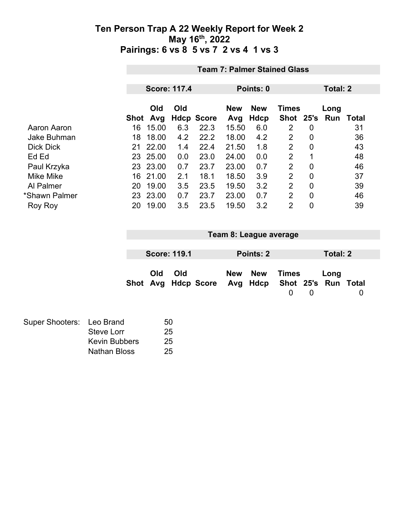|                    | <b>Team 7: Palmer Stained Glass</b> |                     |     |                   |            |            |                |                |          |       |  |
|--------------------|-------------------------------------|---------------------|-----|-------------------|------------|------------|----------------|----------------|----------|-------|--|
|                    |                                     |                     |     |                   |            |            |                |                |          |       |  |
|                    |                                     | <b>Score: 117.4</b> |     |                   | Points: 0  |            |                |                | Total: 2 |       |  |
|                    |                                     | Old                 | Old |                   | <b>New</b> | <b>New</b> | <b>Times</b>   |                | Long     |       |  |
|                    | <b>Shot</b>                         | Avg                 |     | <b>Hdcp Score</b> | Avg        | Hdcp       | <b>Shot</b>    | 25's           | Run      | Total |  |
| Aaron Aaron        | 16                                  | 15.00               | 6.3 | 22.3              | 15.50      | 6.0        | 2              | 0              |          | 31    |  |
| <b>Jake Buhman</b> | 18                                  | 18.00               | 4.2 | 22.2              | 18.00      | 4.2        | $\overline{2}$ | 0              |          | 36    |  |
| <b>Dick Dick</b>   | 21                                  | 22.00               | 1.4 | 22.4              | 21.50      | 1.8        | $\overline{2}$ | $\mathbf 0$    |          | 43    |  |
| Ed Ed              | 23                                  | 25.00               | 0.0 | 23.0              | 24.00      | 0.0        | 2              | 1              |          | 48    |  |
| Paul Krzyka        | 23                                  | 23.00               | 0.7 | 23.7              | 23.00      | 0.7        | 2              | 0              |          | 46    |  |
| <b>Mike Mike</b>   | 16                                  | 21.00               | 2.1 | 18.1              | 18.50      | 3.9        | 2              | 0              |          | 37    |  |
| Al Palmer          | 20                                  | 19.00               | 3.5 | 23.5              | 19.50      | 3.2        | 2              | 0              |          | 39    |  |
| *Shawn Palmer      | 23                                  | 23.00               | 0.7 | 23.7              | 23.00      | 0.7        | $\overline{2}$ | $\overline{0}$ |          | 46    |  |
| Roy Roy            | 20                                  | 19.00               | 3.5 | 23.5              | 19.50      | 3.2        | $\overline{2}$ | 0              |          | 39    |  |

|     |                     |                     |     | Team 8: League average |                                       |          |          |          |
|-----|---------------------|---------------------|-----|------------------------|---------------------------------------|----------|----------|----------|
|     |                     |                     |     |                        |                                       |          |          |          |
|     | <b>Score: 119.1</b> |                     |     | Points: 2              |                                       |          | Total: 2 |          |
| Old | Old                 | Shot Avg Hdcp Score | New | <b>New</b>             | Times<br>Avg Hdcp Shot 25's Run Total |          | Long     |          |
|     |                     |                     |     |                        | $\Omega$                              | $\Omega$ |          | $\Omega$ |
|     |                     |                     |     |                        |                                       |          |          |          |

| Super Shooters: Leo Brand |                      | 50 |
|---------------------------|----------------------|----|
|                           | Steve Lorr           | 25 |
|                           | <b>Kevin Bubbers</b> | 25 |
|                           | Nathan Bloss         | 25 |
|                           |                      |    |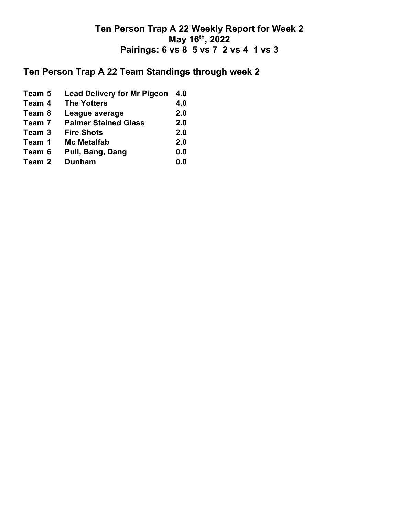# **Ten Person Trap A 22 Team Standings through week 2**

**Team 5 Lead Delivery for Mr Pigeon 4.0 Team 4 The Yotters 4.0 Team 8 League average 2.0 Team 7 Palmer Stained Glass 2.0 Team 3** Fire Shots **2.0**<br> **Team 1** Mc Metalfab 2.0 **Team 12.0**<br> **12.0**<br> **12.0**<br> **12.0**<br> **12.0**<br> **12.0**<br> **12.0**<br> **12.0**<br> **12.0**<br> **12.0 Team 6 Pull, Bang, Dang 0.0 Team 2 Dunham 0.0**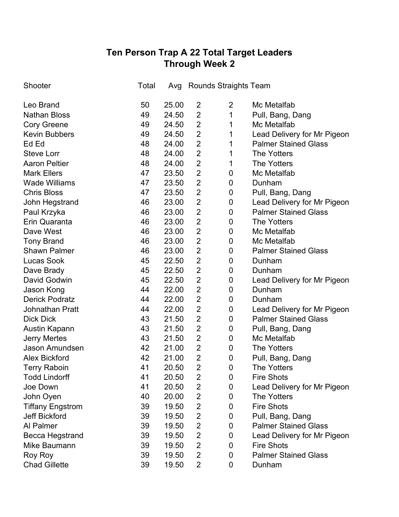# **Ten Person Trap A 22 Total Target Leaders Through Week 2**

| Shooter                 | Total | Avg   |                | <b>Rounds Straights Team</b> |                             |
|-------------------------|-------|-------|----------------|------------------------------|-----------------------------|
| Leo Brand               | 50    | 25.00 | 2              | $\overline{2}$               | Mc Metalfab                 |
| <b>Nathan Bloss</b>     | 49    | 24.50 | $\overline{2}$ | 1                            | Pull, Bang, Dang            |
| <b>Cory Greene</b>      | 49    | 24.50 | $\overline{2}$ | 1                            | Mc Metalfab                 |
| <b>Kevin Bubbers</b>    | 49    | 24.50 | $\overline{2}$ | 1                            | Lead Delivery for Mr Pigeon |
| Ed Ed                   | 48    | 24.00 | $\overline{2}$ | 1                            | <b>Palmer Stained Glass</b> |
| <b>Steve Lorr</b>       | 48    | 24.00 | $\overline{2}$ | 1                            | <b>The Yotters</b>          |
| <b>Aaron Peltier</b>    | 48    | 24.00 | $\overline{2}$ | 1                            | <b>The Yotters</b>          |
| <b>Mark Ellers</b>      | 47    | 23.50 | $\overline{2}$ | $\boldsymbol{0}$             | Mc Metalfab                 |
| <b>Wade Williams</b>    | 47    | 23.50 | $\overline{2}$ | $\boldsymbol{0}$             | Dunham                      |
| <b>Chris Bloss</b>      | 47    | 23.50 | $\overline{2}$ | $\boldsymbol{0}$             | Pull, Bang, Dang            |
| John Hegstrand          | 46    | 23.00 | $\overline{2}$ | $\boldsymbol{0}$             | Lead Delivery for Mr Pigeon |
| Paul Krzyka             | 46    | 23.00 | $\overline{2}$ | $\boldsymbol{0}$             | <b>Palmer Stained Glass</b> |
| Erin Quaranta           | 46    | 23.00 | $\overline{2}$ | $\boldsymbol{0}$             | <b>The Yotters</b>          |
| Dave West               | 46    | 23.00 | $\overline{2}$ | $\boldsymbol{0}$             | Mc Metalfab                 |
| <b>Tony Brand</b>       | 46    | 23.00 | $\overline{2}$ | $\boldsymbol{0}$             | Mc Metalfab                 |
| <b>Shawn Palmer</b>     | 46    | 23.00 | $\overline{2}$ | $\boldsymbol{0}$             | <b>Palmer Stained Glass</b> |
| <b>Lucas Sook</b>       | 45    | 22.50 | $\overline{2}$ | $\boldsymbol{0}$             | Dunham                      |
| Dave Brady              | 45    | 22.50 | $\overline{2}$ | $\boldsymbol{0}$             | Dunham                      |
| David Godwin            | 45    | 22.50 | $\overline{2}$ | $\boldsymbol{0}$             | Lead Delivery for Mr Pigeon |
| Jason Kong              | 44    | 22.00 | $\overline{2}$ | $\boldsymbol{0}$             | Dunham                      |
| <b>Derick Podratz</b>   | 44    | 22.00 | $\overline{2}$ | $\boldsymbol{0}$             | Dunham                      |
| <b>Johnathan Pratt</b>  | 44    | 22.00 | $\overline{2}$ | $\boldsymbol{0}$             | Lead Delivery for Mr Pigeon |
| <b>Dick Dick</b>        | 43    | 21.50 | $\overline{2}$ | $\boldsymbol{0}$             | <b>Palmer Stained Glass</b> |
| Austin Kapann           | 43    | 21.50 | $\overline{2}$ | 0                            | Pull, Bang, Dang            |
| <b>Jerry Mertes</b>     | 43    | 21.50 | $\overline{2}$ | 0                            | Mc Metalfab                 |
| Jason Amundsen          | 42    | 21.00 | $\overline{2}$ | $\boldsymbol{0}$             | <b>The Yotters</b>          |
| <b>Alex Bickford</b>    | 42    | 21.00 | $\overline{2}$ | $\boldsymbol{0}$             | Pull, Bang, Dang            |
| <b>Terry Raboin</b>     | 41    | 20.50 | $\overline{2}$ | $\boldsymbol{0}$             | <b>The Yotters</b>          |
| <b>Todd Lindorff</b>    | 41    | 20.50 | $\overline{2}$ | 0                            | <b>Fire Shots</b>           |
| Joe Down                | 41    | 20.50 | $\overline{2}$ | 0                            | Lead Delivery for Mr Pigeon |
| John Oyen               | 40    | 20.00 | $\overline{2}$ | 0                            | <b>The Yotters</b>          |
| <b>Tiffany Engstrom</b> | 39    | 19.50 | $\overline{2}$ | 0                            | <b>Fire Shots</b>           |
| <b>Jeff Bickford</b>    | 39    | 19.50 | $\overline{2}$ | 0                            | Pull, Bang, Dang            |
| Al Palmer               | 39    | 19.50 | $\overline{2}$ | 0                            | <b>Palmer Stained Glass</b> |
| <b>Becca Hegstrand</b>  | 39    | 19.50 | $\overline{2}$ | 0                            | Lead Delivery for Mr Pigeon |
| Mike Baumann            | 39    | 19.50 | $\overline{2}$ | 0                            | <b>Fire Shots</b>           |
| Roy Roy                 | 39    | 19.50 | $\overline{2}$ | 0                            | <b>Palmer Stained Glass</b> |
| <b>Chad Gillette</b>    | 39    | 19.50 | 2              | 0                            | Dunham                      |